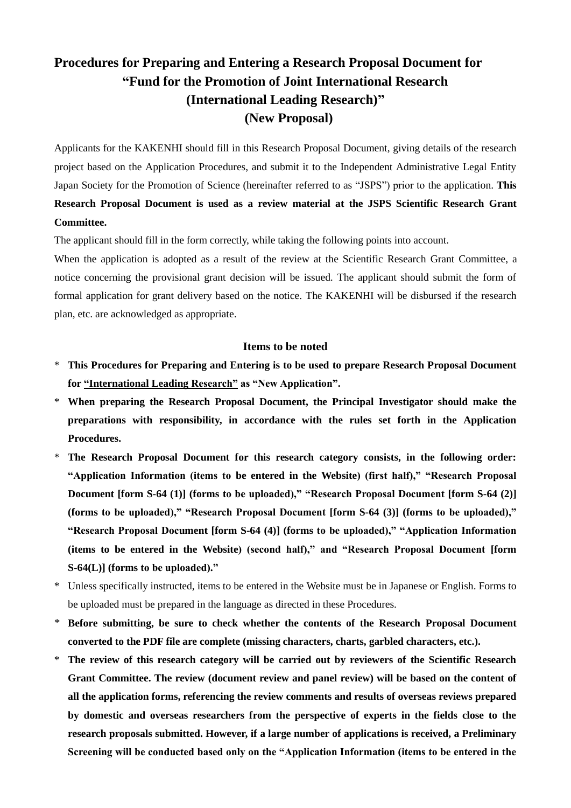# **Procedures for Preparing and Entering a Research Proposal Document for "Fund for the Promotion of Joint International Research (International Leading Research)" (New Proposal)**

Applicants for the KAKENHI should fill in this Research Proposal Document, giving details of the research project based on the Application Procedures, and submit it to the Independent Administrative Legal Entity Japan Society for the Promotion of Science (hereinafter referred to as "JSPS") prior to the application. **This Research Proposal Document is used as a review material at the JSPS Scientific Research Grant Committee.**

The applicant should fill in the form correctly, while taking the following points into account.

When the application is adopted as a result of the review at the Scientific Research Grant Committee, a notice concerning the provisional grant decision will be issued. The applicant should submit the form of formal application for grant delivery based on the notice. The KAKENHI will be disbursed if the research plan, etc. are acknowledged as appropriate.

#### **Items to be noted**

- \* **This Procedures for Preparing and Entering is to be used to prepare Research Proposal Document for "International Leading Research" as "New Application".**
- \* **When preparing the Research Proposal Document, the Principal Investigator should make the preparations with responsibility, in accordance with the rules set forth in the Application Procedures.**
- \* **The Research Proposal Document for this research category consists, in the following order: "Application Information (items to be entered in the Website) (first half)," "Research Proposal Document [form S-64 (1)] (forms to be uploaded)," "Research Proposal Document [form S-64 (2)] (forms to be uploaded)," "Research Proposal Document [form S-64 (3)] (forms to be uploaded)," "Research Proposal Document [form S-64 (4)] (forms to be uploaded)," "Application Information (items to be entered in the Website) (second half)," and "Research Proposal Document [form S-64(L)] (forms to be uploaded)."**
- \* Unless specifically instructed, items to be entered in the Website must be in Japanese or English. Forms to be uploaded must be prepared in the language as directed in these Procedures.
- \* **Before submitting, be sure to check whether the contents of the Research Proposal Document converted to the PDF file are complete (missing characters, charts, garbled characters, etc.).**
- \* **The review of this research category will be carried out by reviewers of the Scientific Research Grant Committee. The review (document review and panel review) will be based on the content of all the application forms, referencing the review comments and results of overseas reviews prepared by domestic and overseas researchers from the perspective of experts in the fields close to the research proposals submitted. However, if a large number of applications is received, a Preliminary Screening will be conducted based only on the "Application Information (items to be entered in the**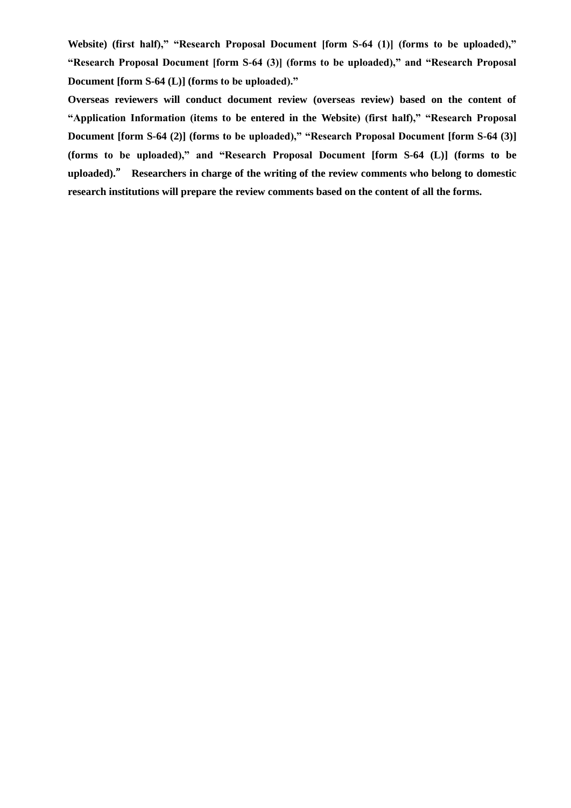**Website) (first half)," "Research Proposal Document [form S-64 (1)] (forms to be uploaded)," "Research Proposal Document [form S-64 (3)] (forms to be uploaded)," and "Research Proposal Document [form S-64 (L)] (forms to be uploaded)."**

**Overseas reviewers will conduct document review (overseas review) based on the content of "Application Information (items to be entered in the Website) (first half)," "Research Proposal Document [form S-64 (2)] (forms to be uploaded)," "Research Proposal Document [form S-64 (3)] (forms to be uploaded)," and "Research Proposal Document [form S-64 (L)] (forms to be uploaded).**" **Researchers in charge of the writing of the review comments who belong to domestic research institutions will prepare the review comments based on the content of all the forms.**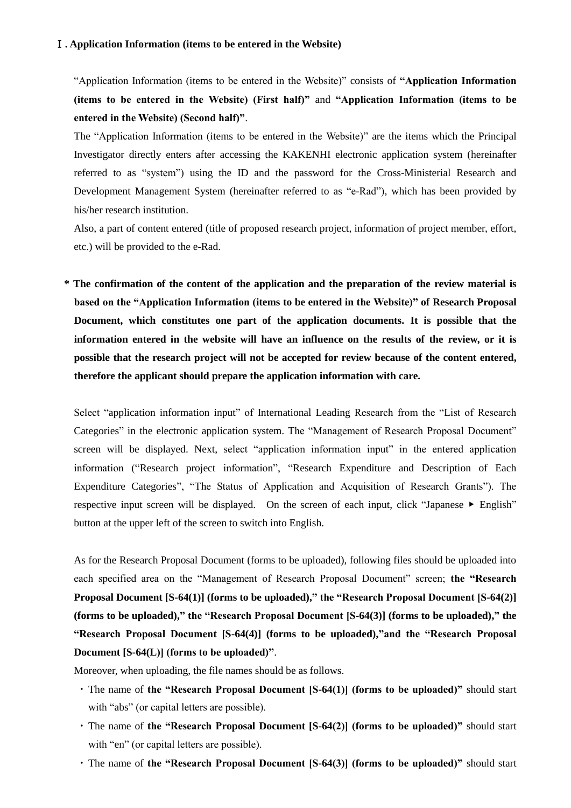#### Ⅰ**. Application Information (items to be entered in the Website)**

"Application Information (items to be entered in the Website)" consists of **"Application Information (items to be entered in the Website) (First half)"** and **"Application Information (items to be entered in the Website) (Second half)"**.

The "Application Information (items to be entered in the Website)" are the items which the Principal Investigator directly enters after accessing the KAKENHI electronic application system (hereinafter referred to as "system") using the ID and the password for the Cross-Ministerial Research and Development Management System (hereinafter referred to as "e-Rad"), which has been provided by his/her research institution.

Also, a part of content entered (title of proposed research project, information of project member, effort, etc.) will be provided to the e-Rad.

**\* The confirmation of the content of the application and the preparation of the review material is based on the "Application Information (items to be entered in the Website)" of Research Proposal Document, which constitutes one part of the application documents. It is possible that the information entered in the website will have an influence on the results of the review, or it is possible that the research project will not be accepted for review because of the content entered, therefore the applicant should prepare the application information with care.**

Select "application information input" of International Leading Research from the "List of Research Categories" in the electronic application system. The "Management of Research Proposal Document" screen will be displayed. Next, select "application information input" in the entered application information ("Research project information", "Research Expenditure and Description of Each Expenditure Categories", "The Status of Application and Acquisition of Research Grants"). The respective input screen will be displayed. On the screen of each input, click "Japanese ▶ English" button at the upper left of the screen to switch into English.

As for the Research Proposal Document (forms to be uploaded), following files should be uploaded into each specified area on the "Management of Research Proposal Document" screen; **the "Research Proposal Document [S-64(1)] (forms to be uploaded)," the "Research Proposal Document [S-64(2)] (forms to be uploaded)," the "Research Proposal Document [S-64(3)] (forms to be uploaded)," the "Research Proposal Document [S-64(4)] (forms to be uploaded),"and the "Research Proposal Document [S-64(L)] (forms to be uploaded)"**.

Moreover, when uploading, the file names should be as follows.

- ・The name of **the "Research Proposal Document [S-64(1)] (forms to be uploaded)"** should start with "abs" (or capital letters are possible).
- ・The name of **the "Research Proposal Document [S-64(2)] (forms to be uploaded)"** should start with "en" (or capital letters are possible).
- ・The name of **the "Research Proposal Document [S-64(3)] (forms to be uploaded)"** should start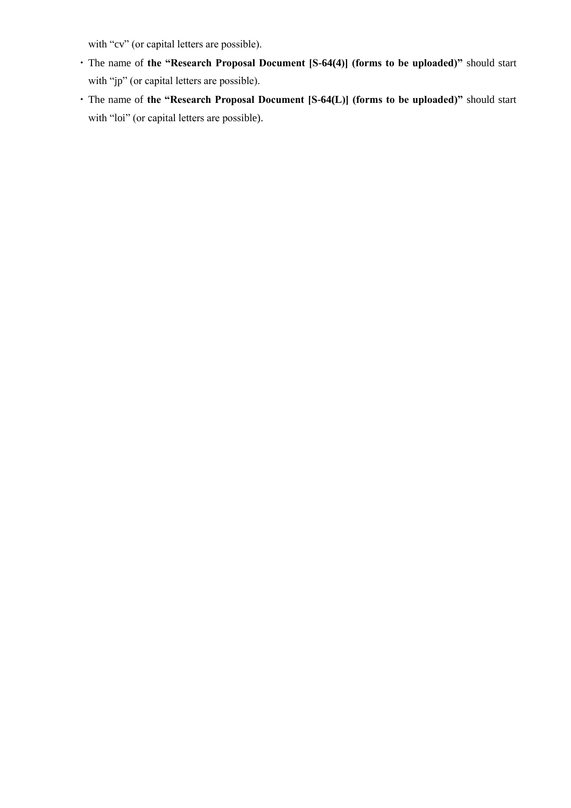with "cv" (or capital letters are possible).

- ・The name of **the "Research Proposal Document [S-64(4)] (forms to be uploaded)"** should start with "jp" (or capital letters are possible).
- ・The name of **the "Research Proposal Document [S-64(L)] (forms to be uploaded)"** should start with "loi" (or capital letters are possible).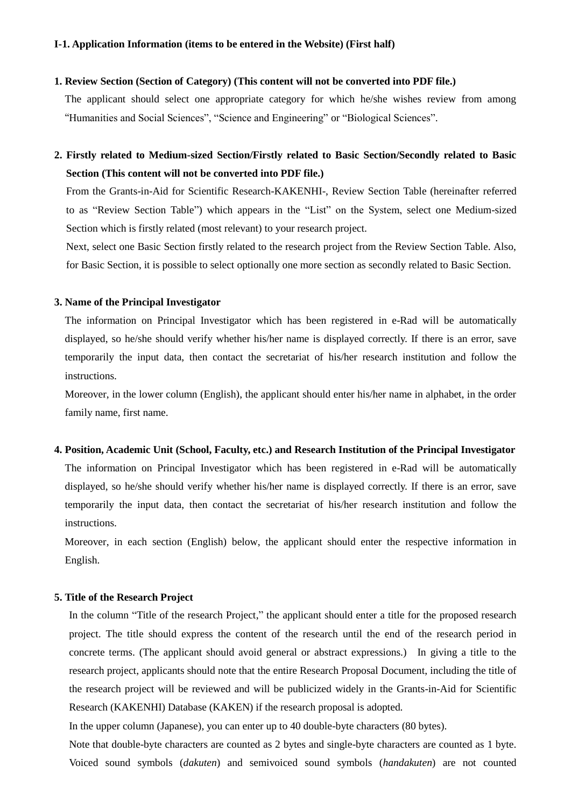#### **I-1. Application Information (items to be entered in the Website) (First half)**

### **1. Review Section (Section of Category) (This content will not be converted into PDF file.)**

The applicant should select one appropriate category for which he/she wishes review from among "Humanities and Social Sciences", "Science and Engineering" or "Biological Sciences".

## **2. Firstly related to Medium-sized Section/Firstly related to Basic Section/Secondly related to Basic Section (This content will not be converted into PDF file.)**

From the Grants-in-Aid for Scientific Research-KAKENHI-, Review Section Table (hereinafter referred to as "Review Section Table") which appears in the "List" on the System, select one Medium-sized Section which is firstly related (most relevant) to your research project.

Next, select one Basic Section firstly related to the research project from the Review Section Table. Also, for Basic Section, it is possible to select optionally one more section as secondly related to Basic Section.

#### **3. Name of the Principal Investigator**

The information on Principal Investigator which has been registered in e-Rad will be automatically displayed, so he/she should verify whether his/her name is displayed correctly. If there is an error, save temporarily the input data, then contact the secretariat of his/her research institution and follow the instructions.

Moreover, in the lower column (English), the applicant should enter his/her name in alphabet, in the order family name, first name.

#### **4. Position, Academic Unit (School, Faculty, etc.) and Research Institution of the Principal Investigator**

The information on Principal Investigator which has been registered in e-Rad will be automatically displayed, so he/she should verify whether his/her name is displayed correctly. If there is an error, save temporarily the input data, then contact the secretariat of his/her research institution and follow the instructions.

Moreover, in each section (English) below, the applicant should enter the respective information in English.

#### **5. Title of the Research Project**

In the column "Title of the research Project," the applicant should enter a title for the proposed research project. The title should express the content of the research until the end of the research period in concrete terms. (The applicant should avoid general or abstract expressions.) In giving a title to the research project, applicants should note that the entire Research Proposal Document, including the title of the research project will be reviewed and will be publicized widely in the Grants-in-Aid for Scientific Research (KAKENHI) Database (KAKEN) if the research proposal is adopted.

In the upper column (Japanese), you can enter up to 40 double-byte characters (80 bytes).

Note that double-byte characters are counted as 2 bytes and single-byte characters are counted as 1 byte. Voiced sound symbols (*dakuten*) and semivoiced sound symbols (*handakuten*) are not counted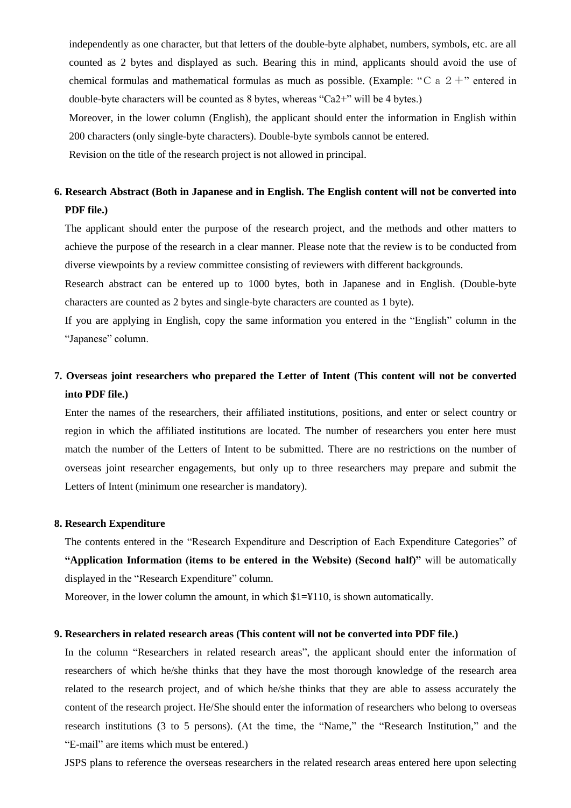independently as one character, but that letters of the double-byte alphabet, numbers, symbols, etc. are all counted as 2 bytes and displayed as such. Bearing this in mind, applicants should avoid the use of chemical formulas and mathematical formulas as much as possible. (Example: "C a  $2 +$ " entered in double-byte characters will be counted as 8 bytes, whereas "Ca2+" will be 4 bytes.) Moreover, in the lower column (English), the applicant should enter the information in English within 200 characters (only single-byte characters). Double-byte symbols cannot be entered.

Revision on the title of the research project is not allowed in principal.

## **6. Research Abstract (Both in Japanese and in English. The English content will not be converted into PDF file.)**

The applicant should enter the purpose of the research project, and the methods and other matters to achieve the purpose of the research in a clear manner. Please note that the review is to be conducted from diverse viewpoints by a review committee consisting of reviewers with different backgrounds.

Research abstract can be entered up to 1000 bytes, both in Japanese and in English. (Double-byte characters are counted as 2 bytes and single-byte characters are counted as 1 byte).

If you are applying in English, copy the same information you entered in the "English" column in the "Japanese" column.

## **7. Overseas joint researchers who prepared the Letter of Intent (This content will not be converted into PDF file.)**

Enter the names of the researchers, their affiliated institutions, positions, and enter or select country or region in which the affiliated institutions are located. The number of researchers you enter here must match the number of the Letters of Intent to be submitted. There are no restrictions on the number of overseas joint researcher engagements, but only up to three researchers may prepare and submit the Letters of Intent (minimum one researcher is mandatory).

### **8. Research Expenditure**

The contents entered in the "Research Expenditure and Description of Each Expenditure Categories" of **"Application Information (items to be entered in the Website) (Second half)"** will be automatically displayed in the "Research Expenditure" column.

Moreover, in the lower column the amount, in which  $1=\frac{1}{10}$ , is shown automatically.

### **9. Researchers in related research areas (This content will not be converted into PDF file.)**

In the column "Researchers in related research areas", the applicant should enter the information of researchers of which he/she thinks that they have the most thorough knowledge of the research area related to the research project, and of which he/she thinks that they are able to assess accurately the content of the research project. He/She should enter the information of researchers who belong to overseas research institutions (3 to 5 persons). (At the time, the "Name," the "Research Institution," and the "E-mail" are items which must be entered.)

JSPS plans to reference the overseas researchers in the related research areas entered here upon selecting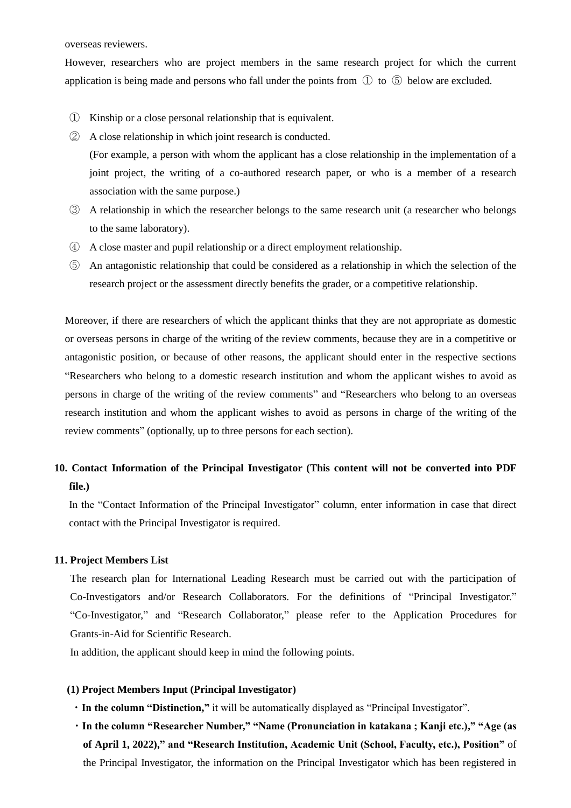overseas reviewers.

However, researchers who are project members in the same research project for which the current application is being made and persons who fall under the points from ① to ⑤ below are excluded.

- ① Kinship or a close personal relationship that is equivalent.
- ② A close relationship in which joint research is conducted. (For example, a person with whom the applicant has a close relationship in the implementation of a joint project, the writing of a co-authored research paper, or who is a member of a research association with the same purpose.)
- ③ A relationship in which the researcher belongs to the same research unit (a researcher who belongs to the same laboratory).
- ④ A close master and pupil relationship or a direct employment relationship.
- ⑤ An antagonistic relationship that could be considered as a relationship in which the selection of the research project or the assessment directly benefits the grader, or a competitive relationship.

Moreover, if there are researchers of which the applicant thinks that they are not appropriate as domestic or overseas persons in charge of the writing of the review comments, because they are in a competitive or antagonistic position, or because of other reasons, the applicant should enter in the respective sections "Researchers who belong to a domestic research institution and whom the applicant wishes to avoid as persons in charge of the writing of the review comments" and "Researchers who belong to an overseas research institution and whom the applicant wishes to avoid as persons in charge of the writing of the review comments" (optionally, up to three persons for each section).

## **10. Contact Information of the Principal Investigator (This content will not be converted into PDF file.)**

In the "Contact Information of the Principal Investigator" column, enter information in case that direct contact with the Principal Investigator is required.

### **11. Project Members List**

The research plan for International Leading Research must be carried out with the participation of Co-Investigators and/or Research Collaborators. For the definitions of "Principal Investigator." "Co-Investigator," and "Research Collaborator," please refer to the Application Procedures for Grants-in-Aid for Scientific Research.

In addition, the applicant should keep in mind the following points.

## **(1) Project Members Input (Principal Investigator)**

- ・**In the column "Distinction,"** it will be automatically displayed as "Principal Investigator".
- ・**In the column "Researcher Number," "Name (Pronunciation in katakana ; Kanji etc.)," "Age (as of April 1, 2022)," and "Research Institution, Academic Unit (School, Faculty, etc.), Position"** of the Principal Investigator, the information on the Principal Investigator which has been registered in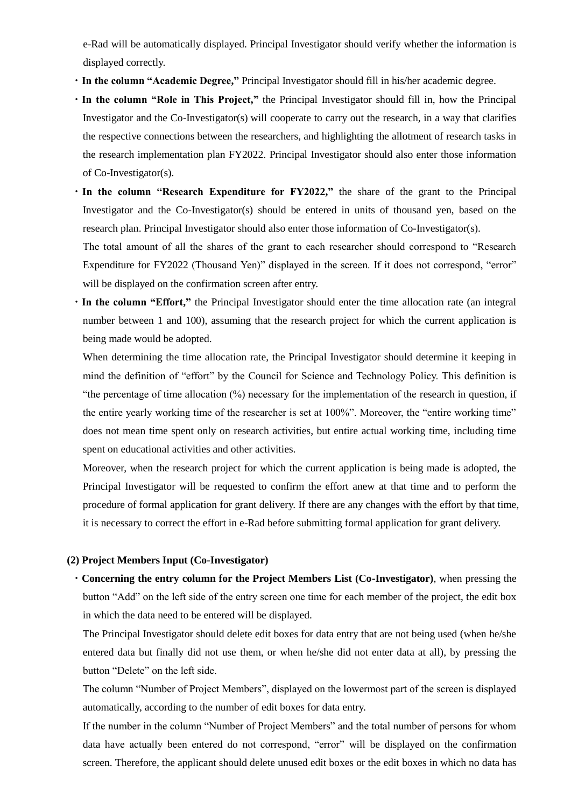e-Rad will be automatically displayed. Principal Investigator should verify whether the information is displayed correctly.

- ・**In the column "Academic Degree,"** Principal Investigator should fill in his/her academic degree.
- ・**In the column "Role in This Project,"** the Principal Investigator should fill in, how the Principal Investigator and the Co-Investigator(s) will cooperate to carry out the research, in a way that clarifies the respective connections between the researchers, and highlighting the allotment of research tasks in the research implementation plan FY2022. Principal Investigator should also enter those information of Co-Investigator(s).
- ・**In the column "Research Expenditure for FY2022,"** the share of the grant to the Principal Investigator and the Co-Investigator(s) should be entered in units of thousand yen, based on the research plan. Principal Investigator should also enter those information of Co-Investigator(s).

The total amount of all the shares of the grant to each researcher should correspond to "Research Expenditure for FY2022 (Thousand Yen)" displayed in the screen. If it does not correspond, "error" will be displayed on the confirmation screen after entry.

・**In the column "Effort,"** the Principal Investigator should enter the time allocation rate (an integral number between 1 and 100), assuming that the research project for which the current application is being made would be adopted.

When determining the time allocation rate, the Principal Investigator should determine it keeping in mind the definition of "effort" by the Council for Science and Technology Policy. This definition is "the percentage of time allocation  $\frac{1}{2}$ " necessary for the implementation of the research in question, if the entire yearly working time of the researcher is set at 100%". Moreover, the "entire working time" does not mean time spent only on research activities, but entire actual working time, including time spent on educational activities and other activities.

Moreover, when the research project for which the current application is being made is adopted, the Principal Investigator will be requested to confirm the effort anew at that time and to perform the procedure of formal application for grant delivery. If there are any changes with the effort by that time, it is necessary to correct the effort in e-Rad before submitting formal application for grant delivery.

### **(2) Project Members Input (Co-Investigator)**

・**Concerning the entry column for the Project Members List (Co-Investigator)**, when pressing the button "Add" on the left side of the entry screen one time for each member of the project, the edit box in which the data need to be entered will be displayed.

The Principal Investigator should delete edit boxes for data entry that are not being used (when he/she entered data but finally did not use them, or when he/she did not enter data at all), by pressing the button "Delete" on the left side.

The column "Number of Project Members", displayed on the lowermost part of the screen is displayed automatically, according to the number of edit boxes for data entry.

If the number in the column "Number of Project Members" and the total number of persons for whom data have actually been entered do not correspond, "error" will be displayed on the confirmation screen. Therefore, the applicant should delete unused edit boxes or the edit boxes in which no data has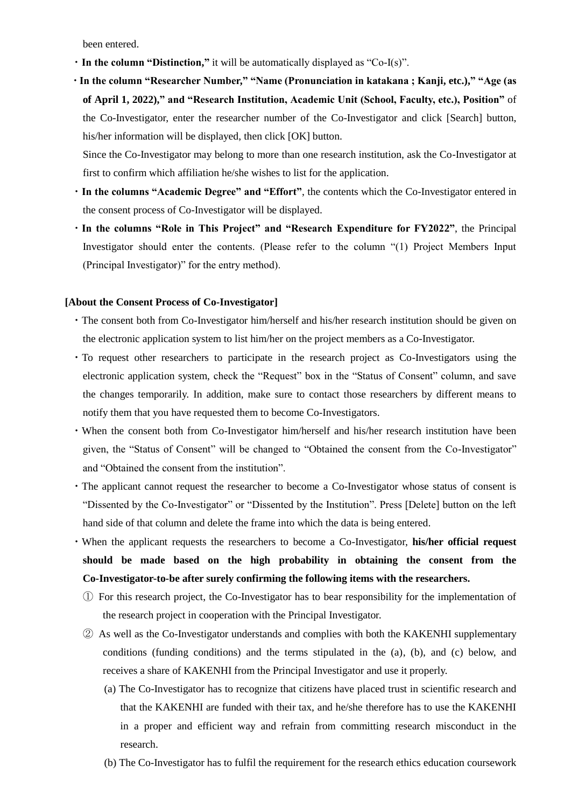been entered.

- ・**In the column "Distinction,"** it will be automatically displayed as "Co-I(s)".
- ・**In the column "Researcher Number," "Name (Pronunciation in katakana ; Kanji, etc.)," "Age (as of April 1, 2022)," and "Research Institution, Academic Unit (School, Faculty, etc.), Position"** of the Co-Investigator, enter the researcher number of the Co-Investigator and click [Search] button, his/her information will be displayed, then click [OK] button.

Since the Co-Investigator may belong to more than one research institution, ask the Co-Investigator at first to confirm which affiliation he/she wishes to list for the application.

- ・**In the columns "Academic Degree" and "Effort"**, the contents which the Co-Investigator entered in the consent process of Co-Investigator will be displayed.
- ・**In the columns "Role in This Project" and "Research Expenditure for FY2022"**, the Principal Investigator should enter the contents. (Please refer to the column "(1) Project Members Input (Principal Investigator)" for the entry method).

### **[About the Consent Process of Co-Investigator]**

- ・The consent both from Co-Investigator him/herself and his/her research institution should be given on the electronic application system to list him/her on the project members as a Co-Investigator.
- ・To request other researchers to participate in the research project as Co-Investigators using the electronic application system, check the "Request" box in the "Status of Consent" column, and save the changes temporarily. In addition, make sure to contact those researchers by different means to notify them that you have requested them to become Co-Investigators.
- ・When the consent both from Co-Investigator him/herself and his/her research institution have been given, the "Status of Consent" will be changed to "Obtained the consent from the Co-Investigator" and "Obtained the consent from the institution".
- ・The applicant cannot request the researcher to become a Co-Investigator whose status of consent is "Dissented by the Co-Investigator" or "Dissented by the Institution". Press [Delete] button on the left hand side of that column and delete the frame into which the data is being entered.
- ・When the applicant requests the researchers to become a Co-Investigator, **his/her official request should be made based on the high probability in obtaining the consent from the Co-Investigator-to-be after surely confirming the following items with the researchers.**
	- ① For this research project, the Co-Investigator has to bear responsibility for the implementation of the research project in cooperation with the Principal Investigator.
	- ② As well as the Co-Investigator understands and complies with both the KAKENHI supplementary conditions (funding conditions) and the terms stipulated in the (a), (b), and (c) below, and receives a share of KAKENHI from the Principal Investigator and use it properly.
		- (a) The Co-Investigator has to recognize that citizens have placed trust in scientific research and that the KAKENHI are funded with their tax, and he/she therefore has to use the KAKENHI in a proper and efficient way and refrain from committing research misconduct in the research.
		- (b) The Co-Investigator has to fulfil the requirement for the research ethics education coursework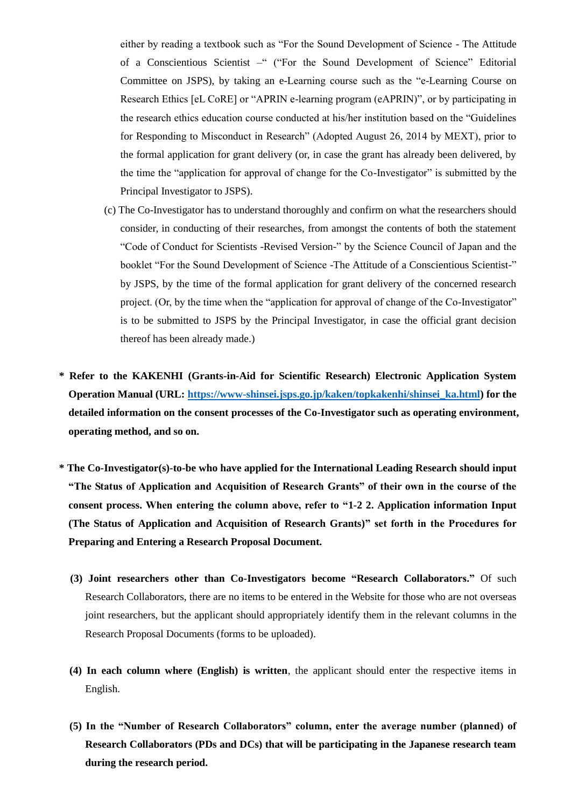either by reading a textbook such as "For the Sound Development of Science - The Attitude of a Conscientious Scientist –" ("For the Sound Development of Science" Editorial Committee on JSPS), by taking an e-Learning course such as the "e-Learning Course on Research Ethics [eL CoRE] or "APRIN e-learning program (eAPRIN)", or by participating in the research ethics education course conducted at his/her institution based on the "Guidelines for Responding to Misconduct in Research" (Adopted August 26, 2014 by MEXT), prior to the formal application for grant delivery (or, in case the grant has already been delivered, by the time the "application for approval of change for the Co-Investigator" is submitted by the Principal Investigator to JSPS).

- (c) The Co-Investigator has to understand thoroughly and confirm on what the researchers should consider, in conducting of their researches, from amongst the contents of both the statement "Code of Conduct for Scientists -Revised Version-" by the Science Council of Japan and the booklet "For the Sound Development of Science -The Attitude of a Conscientious Scientist-" by JSPS, by the time of the formal application for grant delivery of the concerned research project. (Or, by the time when the "application for approval of change of the Co-Investigator" is to be submitted to JSPS by the Principal Investigator, in case the official grant decision thereof has been already made.)
- **\* Refer to the KAKENHI (Grants-in-Aid for Scientific Research) Electronic Application System Operation Manual (URL: [https://www-shinsei.jsps.go.jp/kaken/topkakenhi/shinsei\\_ka.html\)](https://www-shinsei.jsps.go.jp/kaken/topkakenhi/shinsei_ka.html) for the detailed information on the consent processes of the Co-Investigator such as operating environment, operating method, and so on.**
- **\* The Co-Investigator(s)-to-be who have applied for the International Leading Research should input "The Status of Application and Acquisition of Research Grants" of their own in the course of the consent process. When entering the column above, refer to "1-2 2. Application information Input (The Status of Application and Acquisition of Research Grants)" set forth in the Procedures for Preparing and Entering a Research Proposal Document.**
	- **(3) Joint researchers other than Co-Investigators become "Research Collaborators."** Of such Research Collaborators, there are no items to be entered in the Website for those who are not overseas joint researchers, but the applicant should appropriately identify them in the relevant columns in the Research Proposal Documents (forms to be uploaded).
	- **(4) In each column where (English) is written**, the applicant should enter the respective items in English.
	- **(5) In the "Number of Research Collaborators" column, enter the average number (planned) of Research Collaborators (PDs and DCs) that will be participating in the Japanese research team during the research period.**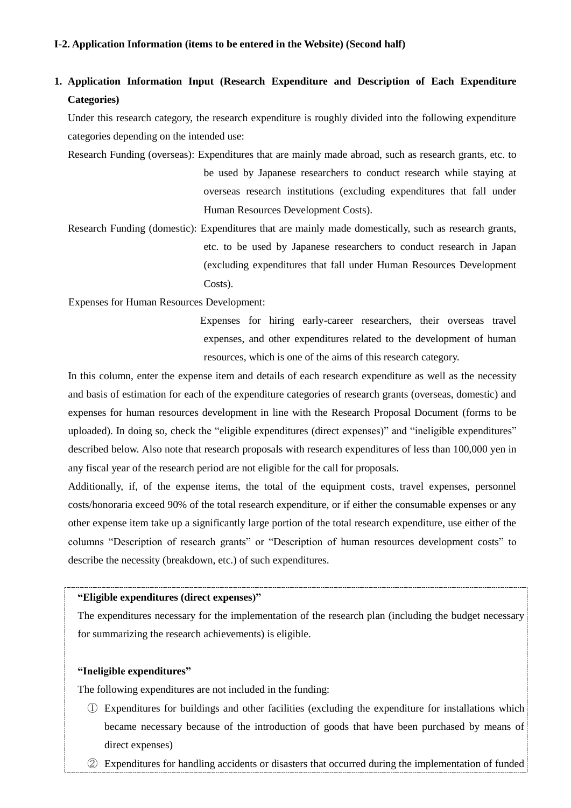#### **Ⅰ-2. Application Information (items to be entered in the Website) (Second half)**

## **1. Application Information Input (Research Expenditure and Description of Each Expenditure Categories)**

Under this research category, the research expenditure is roughly divided into the following expenditure categories depending on the intended use:

Research Funding (overseas): Expenditures that are mainly made abroad, such as research grants, etc. to be used by Japanese researchers to conduct research while staying at overseas research institutions (excluding expenditures that fall under Human Resources Development Costs).

Research Funding (domestic): Expenditures that are mainly made domestically, such as research grants, etc. to be used by Japanese researchers to conduct research in Japan (excluding expenditures that fall under Human Resources Development Costs).

Expenses for Human Resources Development:

Expenses for hiring early-career researchers, their overseas travel expenses, and other expenditures related to the development of human resources, which is one of the aims of this research category.

In this column, enter the expense item and details of each research expenditure as well as the necessity and basis of estimation for each of the expenditure categories of research grants (overseas, domestic) and expenses for human resources development in line with the Research Proposal Document (forms to be uploaded). In doing so, check the "eligible expenditures (direct expenses)" and "ineligible expenditures" described below. Also note that research proposals with research expenditures of less than 100,000 yen in any fiscal year of the research period are not eligible for the call for proposals.

Additionally, if, of the expense items, the total of the equipment costs, travel expenses, personnel costs/honoraria exceed 90% of the total research expenditure, or if either the consumable expenses or any other expense item take up a significantly large portion of the total research expenditure, use either of the columns "Description of research grants" or "Description of human resources development costs" to describe the necessity (breakdown, etc.) of such expenditures.

#### **"Eligible expenditures (direct expenses)"**

The expenditures necessary for the implementation of the research plan (including the budget necessary for summarizing the research achievements) is eligible.

#### **"Ineligible expenditures"**

The following expenditures are not included in the funding:

- ① Expenditures for buildings and other facilities (excluding the expenditure for installations which became necessary because of the introduction of goods that have been purchased by means of direct expenses)
- ② Expenditures for handling accidents or disasters that occurred during the implementation of funded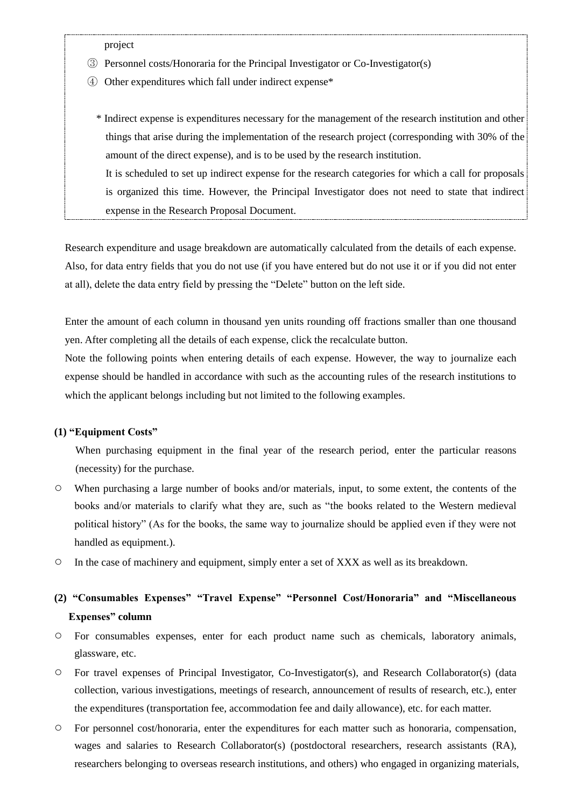project

- ③ Personnel costs/Honoraria for the Principal Investigator or Co-Investigator(s)
- ④ Other expenditures which fall under indirect expense\*
	- \* Indirect expense is expenditures necessary for the management of the research institution and other things that arise during the implementation of the research project (corresponding with 30% of the amount of the direct expense), and is to be used by the research institution.

It is scheduled to set up indirect expense for the research categories for which a call for proposals is organized this time. However, the Principal Investigator does not need to state that indirect expense in the Research Proposal Document.

Research expenditure and usage breakdown are automatically calculated from the details of each expense. Also, for data entry fields that you do not use (if you have entered but do not use it or if you did not enter at all), delete the data entry field by pressing the "Delete" button on the left side.

Enter the amount of each column in thousand yen units rounding off fractions smaller than one thousand yen. After completing all the details of each expense, click the recalculate button.

Note the following points when entering details of each expense. However, the way to journalize each expense should be handled in accordance with such as the accounting rules of the research institutions to which the applicant belongs including but not limited to the following examples.

### **(1) "Equipment Costs"**

When purchasing equipment in the final year of the research period, enter the particular reasons (necessity) for the purchase.

- When purchasing a large number of books and/or materials, input, to some extent, the contents of the books and/or materials to clarify what they are, such as "the books related to the Western medieval political history" (As for the books, the same way to journalize should be applied even if they were not handled as equipment.).
- In the case of machinery and equipment, simply enter a set of XXX as well as its breakdown.

## **(2) "Consumables Expenses" "Travel Expense" "Personnel Cost/Honoraria" and "Miscellaneous Expenses" column**

- For consumables expenses, enter for each product name such as chemicals, laboratory animals, glassware, etc.
- For travel expenses of Principal Investigator, Co-Investigator(s), and Research Collaborator(s) (data collection, various investigations, meetings of research, announcement of results of research, etc.), enter the expenditures (transportation fee, accommodation fee and daily allowance), etc. for each matter.
- For personnel cost/honoraria, enter the expenditures for each matter such as honoraria, compensation, wages and salaries to Research Collaborator(s) (postdoctoral researchers, research assistants (RA), researchers belonging to overseas research institutions, and others) who engaged in organizing materials,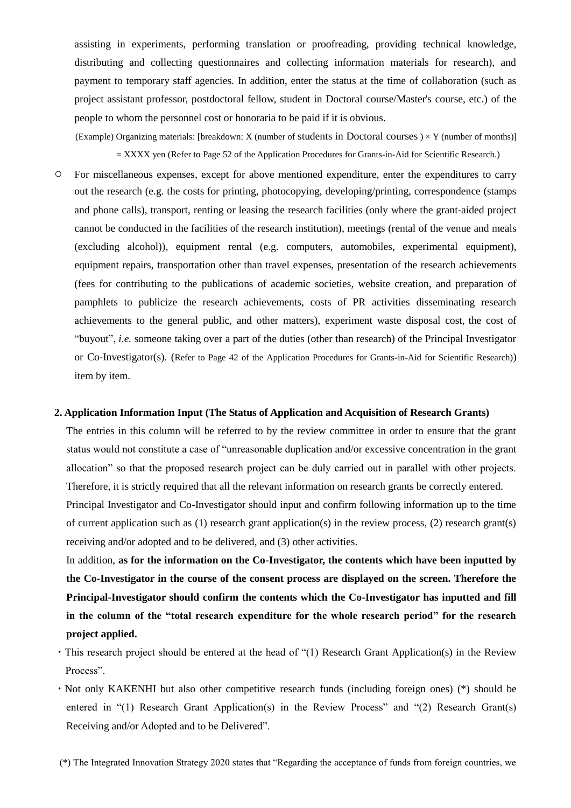assisting in experiments, performing translation or proofreading, providing technical knowledge, distributing and collecting questionnaires and collecting information materials for research), and payment to temporary staff agencies. In addition, enter the status at the time of collaboration (such as project assistant professor, postdoctoral fellow, student in Doctoral course/Master's course, etc.) of the people to whom the personnel cost or honoraria to be paid if it is obvious.

(Example) Organizing materials: [breakdown: X (number of students in Doctoral courses  $) \times Y$  (number of months)] = XXXX yen (Refer to Page 52 of the Application Procedures for Grants-in-Aid for Scientific Research.)

○ For miscellaneous expenses, except for above mentioned expenditure, enter the expenditures to carry out the research (e.g. the costs for printing, photocopying, developing/printing, correspondence (stamps and phone calls), transport, renting or leasing the research facilities (only where the grant-aided project cannot be conducted in the facilities of the research institution), meetings (rental of the venue and meals (excluding alcohol)), equipment rental (e.g. computers, automobiles, experimental equipment), equipment repairs, transportation other than travel expenses, presentation of the research achievements (fees for contributing to the publications of academic societies, website creation, and preparation of pamphlets to publicize the research achievements, costs of PR activities disseminating research achievements to the general public, and other matters), experiment waste disposal cost, the cost of "buyout", *i.e.* someone taking over a part of the duties (other than research) of the Principal Investigator or Co-Investigator(s). (Refer to Page 42 of the Application Procedures for Grants-in-Aid for Scientific Research)) item by item.

#### **2. Application Information Input (The Status of Application and Acquisition of Research Grants)**

The entries in this column will be referred to by the review committee in order to ensure that the grant status would not constitute a case of "unreasonable duplication and/or excessive concentration in the grant allocation" so that the proposed research project can be duly carried out in parallel with other projects. Therefore, it is strictly required that all the relevant information on research grants be correctly entered.

Principal Investigator and Co-Investigator should input and confirm following information up to the time of current application such as (1) research grant application(s) in the review process, (2) research grant(s) receiving and/or adopted and to be delivered, and (3) other activities.

In addition, **as for the information on the Co-Investigator, the contents which have been inputted by the Co-Investigator in the course of the consent process are displayed on the screen. Therefore the Principal-Investigator should confirm the contents which the Co-Investigator has inputted and fill in the column of the "total research expenditure for the whole research period" for the research project applied.**

- ・This research project should be entered at the head of "(1) Research Grant Application(s) in the Review Process".
- ・Not only KAKENHI but also other competitive research funds (including foreign ones) (\*) should be entered in "(1) Research Grant Application(s) in the Review Process" and "(2) Research Grant(s) Receiving and/or Adopted and to be Delivered".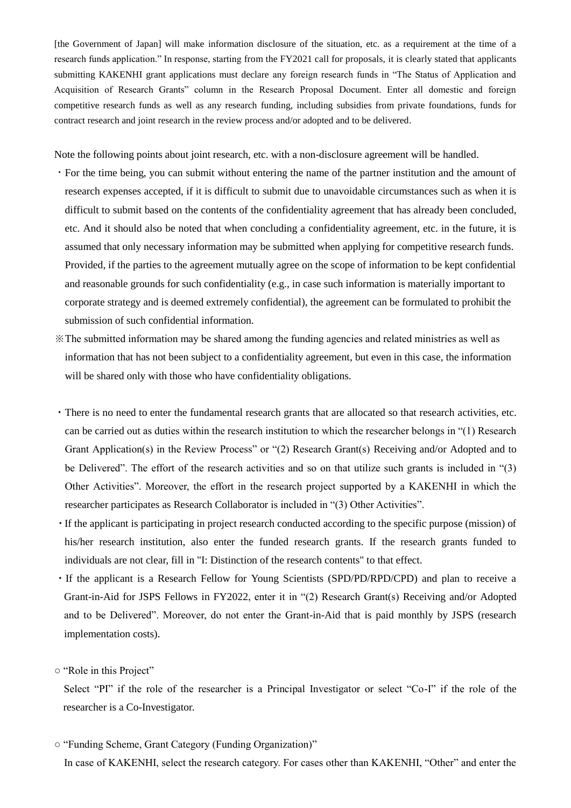[the Government of Japan] will make information disclosure of the situation, etc. as a requirement at the time of a research funds application." In response, starting from the FY2021 call for proposals, it is clearly stated that applicants submitting KAKENHI grant applications must declare any foreign research funds in "The Status of Application and Acquisition of Research Grants" column in the Research Proposal Document. Enter all domestic and foreign competitive research funds as well as any research funding, including subsidies from private foundations, funds for contract research and joint research in the review process and/or adopted and to be delivered.

Note the following points about joint research, etc. with a non-disclosure agreement will be handled.

- ・For the time being, you can submit without entering the name of the partner institution and the amount of research expenses accepted, if it is difficult to submit due to unavoidable circumstances such as when it is difficult to submit based on the contents of the confidentiality agreement that has already been concluded, etc. And it should also be noted that when concluding a confidentiality agreement, etc. in the future, it is assumed that only necessary information may be submitted when applying for competitive research funds. Provided, if the parties to the agreement mutually agree on the scope of information to be kept confidential and reasonable grounds for such confidentiality (e.g., in case such information is materially important to corporate strategy and is deemed extremely confidential), the agreement can be formulated to prohibit the submission of such confidential information.
- ※The submitted information may be shared among the funding agencies and related ministries as well as information that has not been subject to a confidentiality agreement, but even in this case, the information will be shared only with those who have confidentiality obligations.
- ・There is no need to enter the fundamental research grants that are allocated so that research activities, etc. can be carried out as duties within the research institution to which the researcher belongs in "(1) Research Grant Application(s) in the Review Process" or "(2) Research Grant(s) Receiving and/or Adopted and to be Delivered". The effort of the research activities and so on that utilize such grants is included in "(3) Other Activities". Moreover, the effort in the research project supported by a KAKENHI in which the researcher participates as Research Collaborator is included in "(3) Other Activities".
- ・If the applicant is participating in project research conducted according to the specific purpose (mission) of his/her research institution, also enter the funded research grants. If the research grants funded to individuals are not clear, fill in "I: Distinction of the research contents" to that effect.
- ・If the applicant is a Research Fellow for Young Scientists (SPD/PD/RPD/CPD) and plan to receive a Grant-in-Aid for JSPS Fellows in FY2022, enter it in "(2) Research Grant(s) Receiving and/or Adopted and to be Delivered". Moreover, do not enter the Grant-in-Aid that is paid monthly by JSPS (research implementation costs).

#### ○ "Role in this Project"

Select "PI" if the role of the researcher is a Principal Investigator or select "Co-I" if the role of the researcher is a Co-Investigator.

○ "Funding Scheme, Grant Category (Funding Organization)"

In case of KAKENHI, select the research category. For cases other than KAKENHI, "Other" and enter the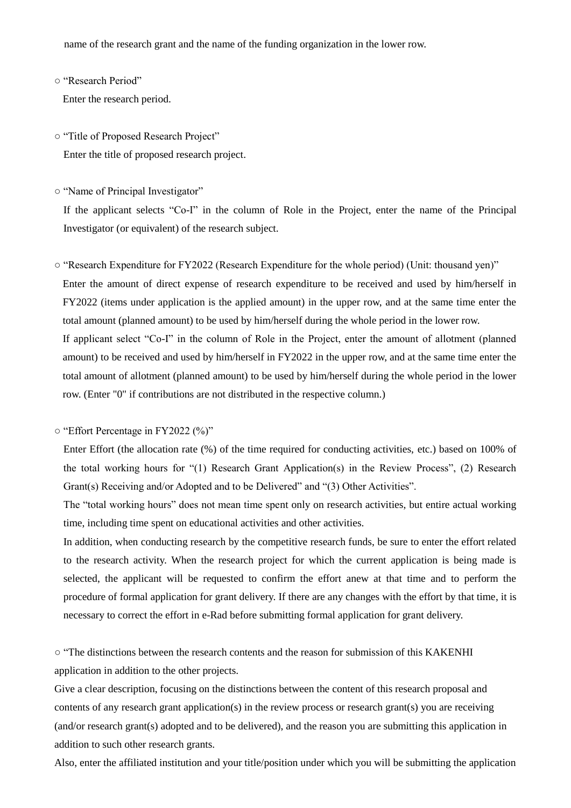name of the research grant and the name of the funding organization in the lower row.

○ "Research Period"

Enter the research period.

○ "Title of Proposed Research Project"

Enter the title of proposed research project.

○ "Name of Principal Investigator"

If the applicant selects "Co-I" in the column of Role in the Project, enter the name of the Principal Investigator (or equivalent) of the research subject.

- "Research Expenditure for FY2022 (Research Expenditure for the whole period) (Unit: thousand yen)" Enter the amount of direct expense of research expenditure to be received and used by him/herself in FY2022 (items under application is the applied amount) in the upper row, and at the same time enter the total amount (planned amount) to be used by him/herself during the whole period in the lower row. If applicant select "Co-I" in the column of Role in the Project, enter the amount of allotment (planned amount) to be received and used by him/herself in FY2022 in the upper row, and at the same time enter the total amount of allotment (planned amount) to be used by him/herself during the whole period in the lower row. (Enter "0" if contributions are not distributed in the respective column.)
- "Effort Percentage in FY2022 (%)"

Enter Effort (the allocation rate (%) of the time required for conducting activities, etc.) based on 100% of the total working hours for "(1) Research Grant Application(s) in the Review Process", (2) Research Grant(s) Receiving and/or Adopted and to be Delivered" and "(3) Other Activities".

The "total working hours" does not mean time spent only on research activities, but entire actual working time, including time spent on educational activities and other activities.

In addition, when conducting research by the competitive research funds, be sure to enter the effort related to the research activity. When the research project for which the current application is being made is selected, the applicant will be requested to confirm the effort anew at that time and to perform the procedure of formal application for grant delivery. If there are any changes with the effort by that time, it is necessary to correct the effort in e-Rad before submitting formal application for grant delivery.

○ "The distinctions between the research contents and the reason for submission of this KAKENHI application in addition to the other projects.

Give a clear description, focusing on the distinctions between the content of this research proposal and contents of any research grant application(s) in the review process or research grant(s) you are receiving (and/or research grant(s) adopted and to be delivered), and the reason you are submitting this application in addition to such other research grants.

Also, enter the affiliated institution and your title/position under which you will be submitting the application